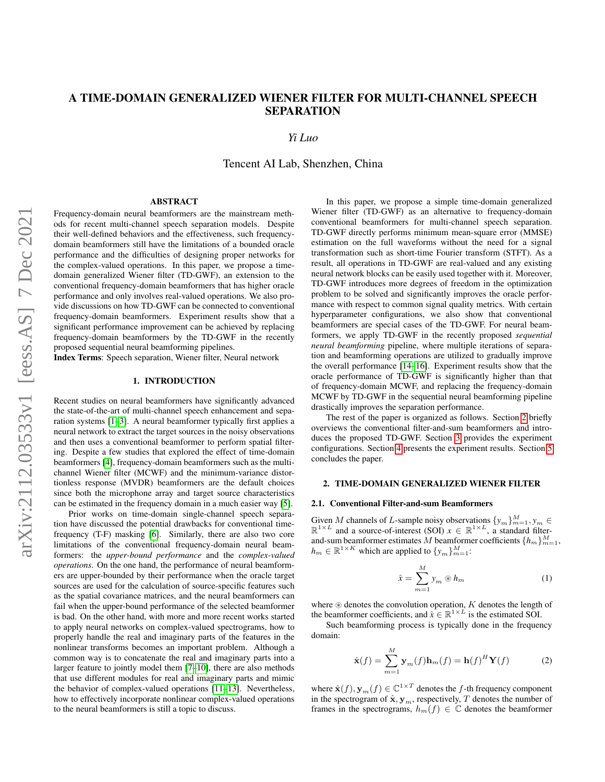# A TIME-DOMAIN GENERALIZED WIENER FILTER FOR MULTI-CHANNEL SPEECH SEPARATION

# *Yi Luo*

Tencent AI Lab, Shenzhen, China

# ABSTRACT

Frequency-domain neural beamformers are the mainstream methods for recent multi-channel speech separation models. Despite their well-defined behaviors and the effectiveness, such frequencydomain beamformers still have the limitations of a bounded oracle performance and the difficulties of designing proper networks for the complex-valued operations. In this paper, we propose a timedomain generalized Wiener filter (TD-GWF), an extension to the conventional frequency-domain beamformers that has higher oracle performance and only involves real-valued operations. We also provide discussions on how TD-GWF can be connected to conventional frequency-domain beamformers. Experiment results show that a significant performance improvement can be achieved by replacing frequency-domain beamformers by the TD-GWF in the recently proposed sequential neural beamforming pipelines.

Index Terms: Speech separation, Wiener filter, Neural network

# 1. INTRODUCTION

Recent studies on neural beamformers have significantly advanced the state-of-the-art of multi-channel speech enhancement and separation systems [\[1–](#page-4-0)[3\]](#page-4-1). A neural beamformer typically first applies a neural network to extract the target sources in the noisy observations and then uses a conventional beamformer to perform spatial filtering. Despite a few studies that explored the effect of time-domain beamformers [\[4\]](#page-4-2), frequency-domain beamformers such as the multichannel Wiener filter (MCWF) and the minimum-variance distortionless response (MVDR) beamformers are the default choices since both the microphone array and target source characteristics can be estimated in the frequency domain in a much easier way [\[5\]](#page-4-3).

Prior works on time-domain single-channel speech separation have discussed the potential drawbacks for conventional timefrequency (T-F) masking [\[6\]](#page-4-4). Similarly, there are also two core limitations of the conventional frequency-domain neural beamformers: the *upper-bound performance* and the *complex-valued operations*. On the one hand, the performance of neural beamformers are upper-bounded by their performance when the oracle target sources are used for the calculation of source-specific features such as the spatial covariance matrices, and the neural beamformers can fail when the upper-bound performance of the selected beamformer is bad. On the other hand, with more and more recent works started to apply neural networks on complex-valued spectrograms, how to properly handle the real and imaginary parts of the features in the nonlinear transforms becomes an important problem. Although a common way is to concatenate the real and imaginary parts into a larger feature to jointly model them [\[7–](#page-4-5)[10\]](#page-4-6), there are also methods that use different modules for real and imaginary parts and mimic the behavior of complex-valued operations [\[11–](#page-4-7)[13\]](#page-4-8). Nevertheless, how to effectively incorporate nonlinear complex-valued operations to the neural beamformers is still a topic to discuss.

In this paper, we propose a simple time-domain generalized Wiener filter (TD-GWF) as an alternative to frequency-domain conventional beamformers for multi-channel speech separation. TD-GWF directly performs minimum mean-square error (MMSE) estimation on the full waveforms without the need for a signal transformation such as short-time Fourier transform (STFT). As a result, all operations in TD-GWF are real-valued and any existing neural network blocks can be easily used together with it. Moreover, TD-GWF introduces more degrees of freedom in the optimization problem to be solved and significantly improves the oracle performance with respect to common signal quality metrics. With certain hyperparameter configurations, we also show that conventional beamformers are special cases of the TD-GWF. For neural beamformers, we apply TD-GWF in the recently proposed *sequential neural beamforming* pipeline, where multiple iterations of separation and beamforming operations are utilized to gradually improve the overall performance [\[14](#page-4-9)[–16\]](#page-4-10). Experiment results show that the oracle performance of TD-GWF is significantly higher than that of frequency-domain MCWF, and replacing the frequency-domain MCWF by TD-GWF in the sequential neural beamforming pipeline drastically improves the separation performance.

The rest of the paper is organized as follows. Section [2](#page-0-0) briefly overviews the conventional filter-and-sum beamformers and introduces the proposed TD-GWF. Section [3](#page-2-0) provides the experiment configurations. Section [4](#page-3-0) presents the experiment results. Section [5](#page-3-1) concludes the paper.

## <span id="page-0-0"></span>2. TIME-DOMAIN GENERALIZED WIENER FILTER

### 2.1. Conventional Filter-and-sum Beamformers

Given M channels of L-sample noisy observations  $\{y_m\}_{m=1}^M, y_m \in$  $\mathbb{R}^{1 \times L}$  and a source-of-interest (SOI)  $x \in \mathbb{R}^{1 \times L}$ , a standard filterand-sum beamformer estimates M beamformer coefficients  $\{h_m\}_{m=1}^M$ ,  $h_m \in \mathbb{R}^{1 \times K}$  which are applied to  $\{y_m\}_{m=1}^M$ :

$$
\hat{x} = \sum_{m=1}^{M} y_m \circledast h_m \tag{1}
$$

where  $\circledast$  denotes the convolution operation, K denotes the length of the beamformer coefficients, and  $\hat{x} \in \mathbb{R}^{1 \times L}$  is the estimated SOI.

Such beamforming process is typically done in the frequency domain:

$$
\hat{\mathbf{x}}(f) = \sum_{m=1}^{M} \mathbf{y}_m(f) \mathbf{h}_m(f) = \mathbf{h}(f)^H \mathbf{Y}(f)
$$
 (2)

where  $\hat{\mathbf{x}}(f), \mathbf{y}_m(f) \in \mathbb{C}^{1 \times T}$  denotes the *f*-th frequency component in the spectrogram of  $\hat{\mathbf{x}}, \mathbf{y}_m$ , respectively, T denotes the number of frames in the spectrograms,  $h_m(f) \in \mathbb{C}$  denotes the beamformer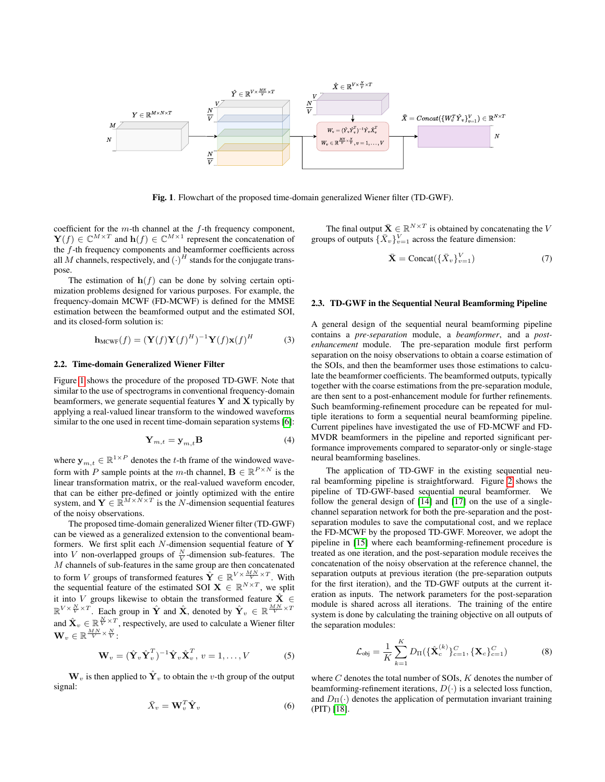

<span id="page-1-0"></span>Fig. 1. Flowchart of the proposed time-domain generalized Wiener filter (TD-GWF).

coefficient for the  $m$ -th channel at the  $f$ -th frequency component,  $\mathbf{Y}(f) \in \mathbb{C}^{M \times T}$  and  $\mathbf{h}(f) \in \mathbb{C}^{M \times 1}$  represent the concatenation of the f-th frequency components and beamformer coefficients across all M channels, respectively, and  $(\cdot)^H$  stands for the conjugate transpose.

The estimation of  $h(f)$  can be done by solving certain optimization problems designed for various purposes. For example, the frequency-domain MCWF (FD-MCWF) is defined for the MMSE estimation between the beamformed output and the estimated SOI, and its closed-form solution is:

$$
\mathbf{h}_{\text{MCWF}}(f) = (\mathbf{Y}(f)\mathbf{Y}(f)^H)^{-1}\mathbf{Y}(f)\mathbf{x}(f)^H
$$
 (3)

#### 2.2. Time-domain Generalized Wiener Filter

Figure [1](#page-1-0) shows the procedure of the proposed TD-GWF. Note that similar to the use of spectrograms in conventional frequency-domain beamformers, we generate sequential features  $Y$  and  $X$  typically by applying a real-valued linear transform to the windowed waveforms similar to the one used in recent time-domain separation systems [\[6\]](#page-4-4):

$$
\mathbf{Y}_{m,t} = \mathbf{y}_{m,t} \mathbf{B} \tag{4}
$$

where  $y_{m,t} \in \mathbb{R}^{1 \times P}$  denotes the *t*-th frame of the windowed waveform with P sample points at the m-th channel,  $\mathbf{B} \in \mathbb{R}^{P \times N}$  is the linear transformation matrix, or the real-valued waveform encoder, that can be either pre-defined or jointly optimized with the entire system, and  $\mathbf{Y} \in \mathbb{R}^{M \times N \times T}$  is the N-dimension sequential features of the noisy observations.

The proposed time-domain generalized Wiener filter (TD-GWF) can be viewed as a generalized extension to the conventional beamformers. We first split each  $N$ -dimension sequential feature of Y into V non-overlapped groups of  $\frac{N}{V}$ -dimension sub-features. The M channels of sub-features in the same group are then concatenated to form V groups of transformed features  $\hat{\mathbf{Y}} \in \mathbb{R}^{V \times \frac{MN}{V} \times T}$ . With the sequential feature of the estimated SOI  $X \in \mathbb{R}^{N \times T}$ , we split it into V groups likewise to obtain the transformed feature  $\hat{\mathbf{X}} \in$  $\mathbb{R}^{V \times \frac{N}{V} \times T}$ . Each group in  $\hat{\mathbf{Y}}$  and  $\hat{\mathbf{X}}$ , denoted by  $\hat{\mathbf{Y}}_v \in \mathbb{R}^{\frac{MN}{V} \times T}$ and  $\hat{\mathbf{X}}_v \in \mathbb{R}^{\frac{N}{V} \times T}$ , respectively, are used to calculate a Wiener filter  $\mathbf{W}_v \in \mathbb{R}^{\frac{MN}{V} \times \frac{N}{V}}$  :

$$
\mathbf{W}_v = (\hat{\mathbf{Y}}_v \hat{\mathbf{Y}}_v^T)^{-1} \hat{\mathbf{Y}}_v \hat{\mathbf{X}}_v^T, v = 1, \dots, V
$$
 (5)

 $\mathbf{W}_v$  is then applied to  $\hat{\mathbf{Y}}_v$  to obtain the v-th group of the output signal:

$$
\bar{X}_v = \mathbf{W}_v^T \hat{\mathbf{Y}}_v \tag{6}
$$

The final output  $\bar{\mathbf{X}} \in \mathbb{R}^{N \times T}$  is obtained by concatenating the V groups of outputs  $\{\bar{X}_v\}_{v=1}^V$  across the feature dimension:

$$
\bar{\mathbf{X}} = \text{Concat}(\{\bar{X}_v\}_{v=1}^V) \tag{7}
$$

### 2.3. TD-GWF in the Sequential Neural Beamforming Pipeline

<span id="page-1-1"></span>A general design of the sequential neural beamforming pipeline contains a *pre-separation* module, a *beamformer*, and a *postenhancement* module. The pre-separation module first perform separation on the noisy observations to obtain a coarse estimation of the SOIs, and then the beamformer uses those estimations to calculate the beamformer coefficients. The beamformed outputs, typically together with the coarse estimations from the pre-separation module, are then sent to a post-enhancement module for further refinements. Such beamforming-refinement procedure can be repeated for multiple iterations to form a sequential neural beamforming pipeline. Current pipelines have investigated the use of FD-MCWF and FD-MVDR beamformers in the pipeline and reported significant performance improvements compared to separator-only or single-stage neural beamforming baselines.

The application of TD-GWF in the existing sequential neural beamforming pipeline is straightforward. Figure [2](#page-2-1) shows the pipeline of TD-GWF-based sequential neural beamformer. We follow the general design of [\[14\]](#page-4-9) and [\[17\]](#page-4-11) on the use of a singlechannel separation network for both the pre-separation and the postseparation modules to save the computational cost, and we replace the FD-MCWF by the proposed TD-GWF. Moreover, we adopt the pipeline in [\[15\]](#page-4-12) where each beamforming-refinement procedure is treated as one iteration, and the post-separation module receives the concatenation of the noisy observation at the reference channel, the separation outputs at previous iteration (the pre-separation outputs for the first iteration), and the TD-GWF outputs at the current iteration as inputs. The network parameters for the post-separation module is shared across all iterations. The training of the entire system is done by calculating the training objective on all outputs of the separation modules:

$$
\mathcal{L}_{obj} = \frac{1}{K} \sum_{k=1}^{K} D_{\Pi}(\{\hat{\mathbf{X}}_c^{(k)}\}_{c=1}^C, \{\mathbf{X}_c\}_{c=1}^C)
$$
(8)

<span id="page-1-2"></span>where  $C$  denotes the total number of SOIs,  $K$  denotes the number of beamforming-refinement iterations,  $D(\cdot)$  is a selected loss function, and  $D_{\Pi}(\cdot)$  denotes the application of permutation invariant training (PIT) [\[18\]](#page-4-13).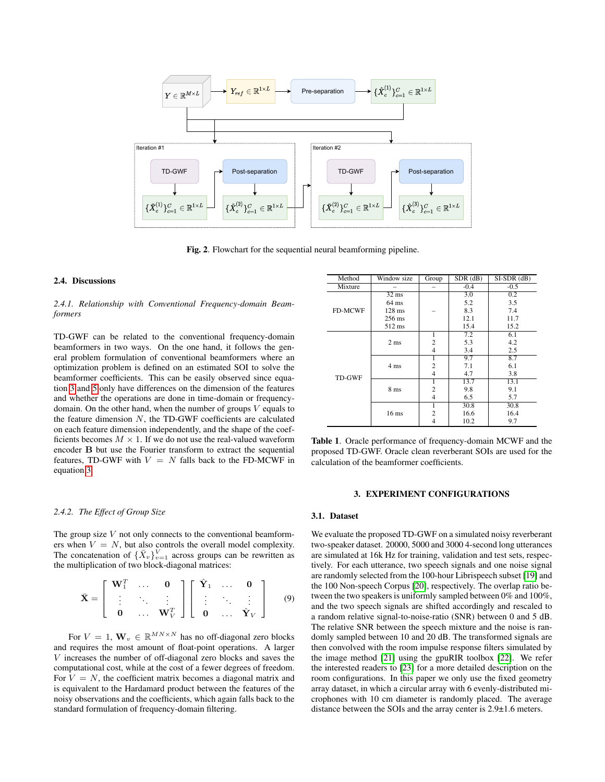

<span id="page-2-1"></span>Fig. 2. Flowchart for the sequential neural beamforming pipeline.

#### 2.4. Discussions

*2.4.1. Relationship with Conventional Frequency-domain Beamformers*

TD-GWF can be related to the conventional frequency-domain beamformers in two ways. On the one hand, it follows the general problem formulation of conventional beamformers where an optimization problem is defined on an estimated SOI to solve the beamformer coefficients. This can be easily observed since equation [3](#page-1-1) and [5](#page-1-2) only have differences on the dimension of the features and whether the operations are done in time-domain or frequencydomain. On the other hand, when the number of groups  $V$  equals to the feature dimension  $N$ , the TD-GWF coefficients are calculated on each feature dimension independently, and the shape of the coefficients becomes  $M \times 1$ . If we do not use the real-valued waveform encoder B but use the Fourier transform to extract the sequential features, TD-GWF with  $V = N$  falls back to the FD-MCWF in equation [3.](#page-1-1)

#### Method Window size Group SDR (dB) SI-SDR (dB)<br>Mixture – – – – – – 0.4 – – 0.5 Mixture – – -0.4 -0.5 FD-MCWF 32 ms –  $\begin{array}{|c|c|c|}\n\hline\n3.0 & 0.2 \\
5.2 & 3.5\n\end{array}$  $64 \text{ ms}$   $\begin{array}{|c|c|c|c|c|} \hline 64 \text{ ms} & 5.2 & 3.5 \\ 128 \text{ ms} & - & 8.3 & 7.4 \end{array}$  $128 \text{ ms}$   $-$  8.3 7.4<br> $256 \text{ ms}$  12.1 11.7 256 ms 512 ms 15.4 15.2 TD-GWF 2 ms  $1 \quad | \quad 7.2 \quad | \quad 6.1$ 2 5.3 4.2 4 3.4 2.5 4 ms 1 9.7 8.7 2 | 7.1 | 6.1 4 | 4.7 | 3.8 8 ms 1 13.7 13.1 2 9.8 9.1 4 | 6.5 | 5.7 16 ms  $\frac{1}{2}$   $\frac{30.8}{16.6}$   $\frac{30.8}{16.4}$ 2 | 16.6 | 16.4  $10.2$  9.7

<span id="page-2-2"></span>Table 1. Oracle performance of frequency-domain MCWF and the proposed TD-GWF. Oracle clean reverberant SOIs are used for the calculation of the beamformer coefficients.

#### *2.4.2. The Effect of Group Size*

The group size  $V$  not only connects to the conventional beamformers when  $V = N$ , but also controls the overall model complexity. The concatenation of  $\{\bar{X}_v\}_{v=1}^V$  across groups can be rewritten as the multiplication of two block-diagonal matrices:

$$
\bar{\mathbf{X}} = \left[ \begin{array}{ccc} \mathbf{W}_1^T & \cdots & \mathbf{0} \\ \vdots & \ddots & \vdots \\ \mathbf{0} & \cdots & \mathbf{W}_V^T \end{array} \right] \left[ \begin{array}{ccc} \hat{\mathbf{Y}}_1 & \cdots & \mathbf{0} \\ \vdots & \ddots & \vdots \\ \mathbf{0} & \cdots & \hat{\mathbf{Y}}_V \end{array} \right] \qquad (9)
$$

For  $V = 1$ ,  $\mathbf{W}_v \in \mathbb{R}^{MN \times N}$  has no off-diagonal zero blocks and requires the most amount of float-point operations. A larger V increases the number of off-diagonal zero blocks and saves the computational cost, while at the cost of a fewer degrees of freedom. For  $V = N$ , the coefficient matrix becomes a diagonal matrix and is equivalent to the Hardamard product between the features of the noisy observations and the coefficients, which again falls back to the standard formulation of frequency-domain filtering.

#### 3. EXPERIMENT CONFIGURATIONS

# <span id="page-2-0"></span>3.1. Dataset

We evaluate the proposed TD-GWF on a simulated noisy reverberant two-speaker dataset. 20000, 5000 and 3000 4-second long utterances are simulated at 16k Hz for training, validation and test sets, respectively. For each utterance, two speech signals and one noise signal are randomly selected from the 100-hour Librispeech subset [\[19\]](#page-4-14) and the 100 Non-speech Corpus [\[20\]](#page-4-15), respectively. The overlap ratio between the two speakers is uniformly sampled between 0% and 100%, and the two speech signals are shifted accordingly and rescaled to a random relative signal-to-noise-ratio (SNR) between 0 and 5 dB. The relative SNR between the speech mixture and the noise is randomly sampled between 10 and 20 dB. The transformed signals are then convolved with the room impulse response filters simulated by the image method [\[21\]](#page-4-16) using the gpuRIR toolbox [\[22\]](#page-4-17). We refer the interested readers to [\[23\]](#page-4-18) for a more detailed description on the room configurations. In this paper we only use the fixed geometry array dataset, in which a circular array with 6 evenly-distributed microphones with 10 cm diameter is randomly placed. The average distance between the SOIs and the array center is 2.9±1.6 meters.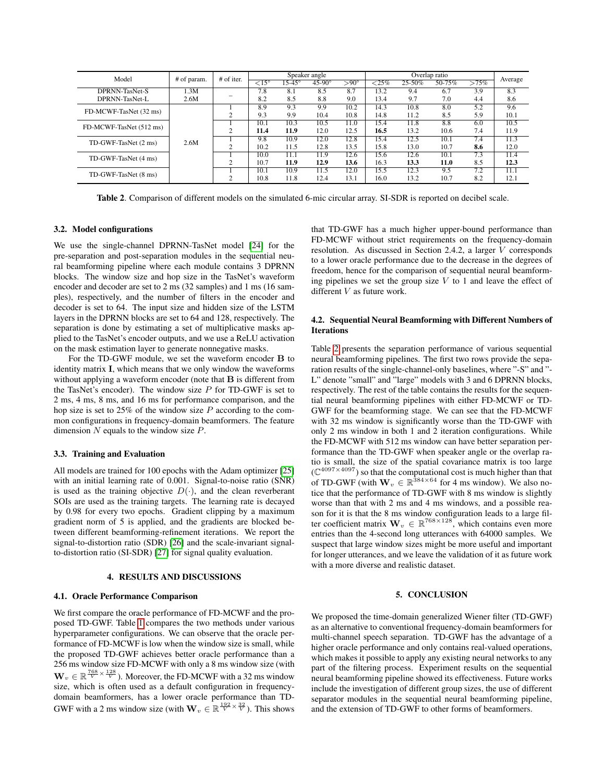| Model                   | # of param. | # of iter. | Speaker angle            |        |               |              | Overlap ratio |                   |        |                  | Average |
|-------------------------|-------------|------------|--------------------------|--------|---------------|--------------|---------------|-------------------|--------|------------------|---------|
|                         |             |            | $\overline{<}15^{\circ}$ | 15-45° | $45-90^\circ$ | $> 90^\circ$ | ${<}25\%$     | $25 - 50%$        | 50-75% | $>75\%$          |         |
| DPRNN-TasNet-S          | 1.3M        |            | 7.8                      | 8.1    | 8.5           | 8.7          | 13.2          | 9.4               | 6.7    | 3.9              | 8.3     |
| DPRNN-TasNet-L          | 2.6M        |            | 8.2                      | 8.5    | 8.8           | 9.0          | 13.4          | 9.7               | 7.0    | 4.4              | 8.6     |
| FD-MCWF-TasNet (32 ms)  | 2.6M        |            | 8.9                      | 9.3    | 9.9           | 10.2         | 14.3          | 10.8              | 8.0    | 5.2              | 9.6     |
|                         |             |            | 9.3                      | 9.9    | 10.4          | 10.8         | 14.8          | 11.2              | 8.5    | 5.9              | 10.1    |
| FD-MCWF-TasNet (512 ms) |             |            | 10.1                     | 10.3   | 10.5          | 11.0         | 15.4          | 11.8              | 8.8    | 6.0              | 10.5    |
|                         |             |            | 11.4                     | 11.9   | 12.0          | 12.5         | 16.5          | 13.2              | 10.6   | 7.4              | 11.9    |
| TD-GWF-TasNet (2 ms)    |             |            | 9.8                      | 10.9   | 12.0          | 12.8         | 15.4          | 12.5              | 10.1   | 7.4              | 11.3    |
|                         |             |            | 10.2                     | 11.5   | 12.8          | 13.5         | 15.8          | 13.0              | 10.7   | 8.6              | 12.0    |
| TD-GWF-TasNet (4 ms)    |             |            | 10.0                     | 11.1   | 11.9          | 12.6         | 15.6          | 12.6              | 10.1   | $7.\overline{3}$ | 11.4    |
|                         |             |            | 10.7                     | 11.9   | 12.9          | 13.6         | 16.3          | 13.3              | 11.0   | 8.5              | 12.3    |
| TD-GWF-TasNet (8 ms)    |             |            | 10.1                     | 10.9   | 11.5          | 12.0         | 15.5          | $12.\overline{3}$ | 9.5    | 7.2              | 11.1    |
|                         |             |            | 10.8                     | 11.8   | 12.4          | 13.1         | 16.0          | 13.2              | 10.7   | 8.2              | 12.1    |

<span id="page-3-2"></span>Table 2. Comparison of different models on the simulated 6-mic circular array. SI-SDR is reported on decibel scale.

#### 3.2. Model configurations

We use the single-channel DPRNN-TasNet model [\[24\]](#page-4-19) for the pre-separation and post-separation modules in the sequential neural beamforming pipeline where each module contains 3 DPRNN blocks. The window size and hop size in the TasNet's waveform encoder and decoder are set to 2 ms (32 samples) and 1 ms (16 samples), respectively, and the number of filters in the encoder and decoder is set to 64. The input size and hidden size of the LSTM layers in the DPRNN blocks are set to 64 and 128, respectively. The separation is done by estimating a set of multiplicative masks applied to the TasNet's encoder outputs, and we use a ReLU activation on the mask estimation layer to generate nonnegative masks.

For the TD-GWF module, we set the waveform encoder B to identity matrix I, which means that we only window the waveforms without applying a waveform encoder (note that **B** is different from the TasNet's encoder). The window size  $P$  for TD-GWF is set to 2 ms, 4 ms, 8 ms, and 16 ms for performance comparison, and the hop size is set to  $25\%$  of the window size  $P$  according to the common configurations in frequency-domain beamformers. The feature dimension  $N$  equals to the window size  $P$ .

#### 3.3. Training and Evaluation

All models are trained for 100 epochs with the Adam optimizer [\[25\]](#page-4-20) with an initial learning rate of 0.001. Signal-to-noise ratio (SNR) is used as the training objective  $D(\cdot)$ , and the clean reverberant SOIs are used as the training targets. The learning rate is decayed by 0.98 for every two epochs. Gradient clipping by a maximum gradient norm of 5 is applied, and the gradients are blocked between different beamforming-refinement iterations. We report the signal-to-distortion ratio (SDR) [\[26\]](#page-4-21) and the scale-invariant signalto-distortion ratio (SI-SDR) [\[27\]](#page-4-22) for signal quality evaluation.

# 4. RESULTS AND DISCUSSIONS

# <span id="page-3-0"></span>4.1. Oracle Performance Comparison

We first compare the oracle performance of FD-MCWF and the proposed TD-GWF. Table [1](#page-2-2) compares the two methods under various hyperparameter configurations. We can observe that the oracle performance of FD-MCWF is low when the window size is small, while the proposed TD-GWF achieves better oracle performance than a 256 ms window size FD-MCWF with only a 8 ms window size (with  $\mathbf{W}_v \in \mathbb{R}^{\frac{768}{V} \times \frac{128}{V}}$ . Moreover, the FD-MCWF with a 32 ms window size, which is often used as a default configuration in frequencydomain beamformers, has a lower oracle performance than TD-GWF with a 2 ms window size (with  $\mathbf{W}_v \in \mathbb{R}^{\frac{192}{V} \times \frac{32}{V}}$ ). This shows that TD-GWF has a much higher upper-bound performance than FD-MCWF without strict requirements on the frequency-domain resolution. As discussed in Section 2.4.2, a larger V corresponds to a lower oracle performance due to the decrease in the degrees of freedom, hence for the comparison of sequential neural beamforming pipelines we set the group size  $V$  to 1 and leave the effect of different V as future work.

### 4.2. Sequential Neural Beamforming with Different Numbers of Iterations

Table [2](#page-3-2) presents the separation performance of various sequential neural beamforming pipelines. The first two rows provide the separation results of the single-channel-only baselines, where "-S" and "- L" denote "small" and "large" models with 3 and 6 DPRNN blocks, respectively. The rest of the table contains the results for the sequential neural beamforming pipelines with either FD-MCWF or TD-GWF for the beamforming stage. We can see that the FD-MCWF with 32 ms window is significantly worse than the TD-GWF with only 2 ms window in both 1 and 2 iteration configurations. While the FD-MCWF with 512 ms window can have better separation performance than the TD-GWF when speaker angle or the overlap ratio is small, the size of the spatial covariance matrix is too large  $(\mathbb{C}^{4097\times4097})$  so that the computational cost is much higher than that of TD-GWF (with  $W_v \in \mathbb{R}^{384 \times 64}$  for 4 ms window). We also notice that the performance of TD-GWF with 8 ms window is slightly worse than that with 2 ms and 4 ms windows, and a possible reason for it is that the 8 ms window configuration leads to a large filter coefficient matrix  $\mathbf{W}_v \in \mathbb{R}^{768 \times 128}$ , which contains even more entries than the 4-second long utterances with 64000 samples. We suspect that large window sizes might be more useful and important for longer utterances, and we leave the validation of it as future work with a more diverse and realistic dataset.

# 5. CONCLUSION

<span id="page-3-1"></span>We proposed the time-domain generalized Wiener filter (TD-GWF) as an alternative to conventional frequency-domain beamformers for multi-channel speech separation. TD-GWF has the advantage of a higher oracle performance and only contains real-valued operations, which makes it possible to apply any existing neural networks to any part of the filtering process. Experiment results on the sequential neural beamforming pipeline showed its effectiveness. Future works include the investigation of different group sizes, the use of different separator modules in the sequential neural beamforming pipeline, and the extension of TD-GWF to other forms of beamformers.